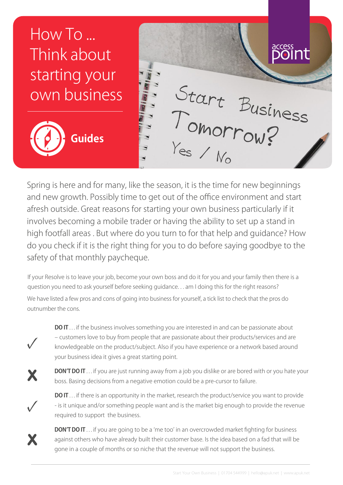## How To ... Think about starting your own business<br>
Guides<br>
Spring is here and for many, like the season, it is the time for new beginnings own business **Guides**  $\blacksquare$

and new growth. Possibly time to get out of the office environment and start afresh outside. Great reasons for starting your own business particularly if it involves becoming a mobile trader or having the ability to set up a stand in high footfall areas . But where do you turn to for that help and guidance? How do you check if it is the right thing for you to do before saying goodbye to the safety of that monthly paycheque.

If your Resolve is to leave your job, become your own boss and do it for you and your family then there is a question you need to ask yourself before seeking guidance. . . am I doing this for the right reasons?

We have listed a few pros and cons of going into business for yourself, a tick list to check that the pros do outnumber the cons.



**DO IT** ... if the business involves something you are interested in and can be passionate about – customers love to buy from people that are passionate about their products/services and are knowledgeable on the product/subject. Also if you have experience or a network based around your business idea it gives a great starting point.

X

**DON'T DO IT** ... if you are just running away from a job you dislike or are bored with or you hate your boss. Basing decisions from a negative emotion could be a pre-cursor to failure.

**✓**

X

**DO IT** ... if there is an opportunity in the market, research the product/service you want to provide - is it unique and/or something people want and is the market big enough to provide the revenue required to support the business.

**DON'T DO IT** . . . if you are going to be a 'me too' in an overcrowded market fighting for business against others who have already built their customer base. Is the idea based on a fad that will be gone in a couple of months or so niche that the revenue will not support the business.